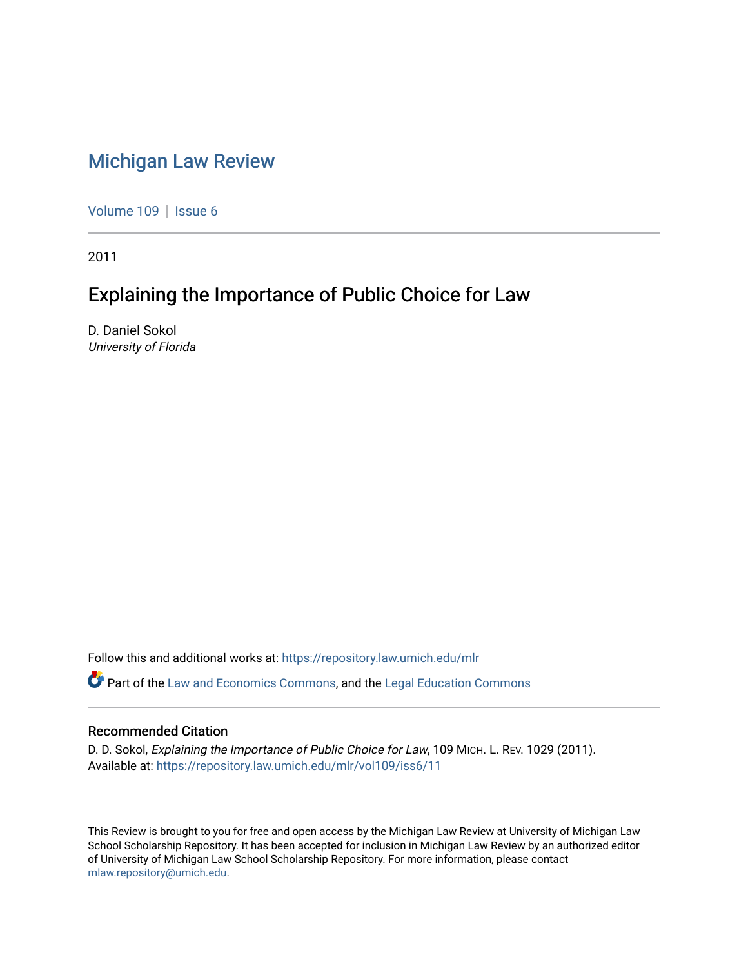## [Michigan Law Review](https://repository.law.umich.edu/mlr)

[Volume 109](https://repository.law.umich.edu/mlr/vol109) | [Issue 6](https://repository.law.umich.edu/mlr/vol109/iss6)

2011

# Explaining the Importance of Public Choice for Law

D. Daniel Sokol University of Florida

Follow this and additional works at: [https://repository.law.umich.edu/mlr](https://repository.law.umich.edu/mlr?utm_source=repository.law.umich.edu%2Fmlr%2Fvol109%2Fiss6%2F11&utm_medium=PDF&utm_campaign=PDFCoverPages) 

Part of the [Law and Economics Commons](http://network.bepress.com/hgg/discipline/612?utm_source=repository.law.umich.edu%2Fmlr%2Fvol109%2Fiss6%2F11&utm_medium=PDF&utm_campaign=PDFCoverPages), and the [Legal Education Commons](http://network.bepress.com/hgg/discipline/857?utm_source=repository.law.umich.edu%2Fmlr%2Fvol109%2Fiss6%2F11&utm_medium=PDF&utm_campaign=PDFCoverPages) 

## Recommended Citation

D. D. Sokol, Explaining the Importance of Public Choice for Law, 109 MICH. L. REV. 1029 (2011). Available at: [https://repository.law.umich.edu/mlr/vol109/iss6/11](https://repository.law.umich.edu/mlr/vol109/iss6/11?utm_source=repository.law.umich.edu%2Fmlr%2Fvol109%2Fiss6%2F11&utm_medium=PDF&utm_campaign=PDFCoverPages) 

This Review is brought to you for free and open access by the Michigan Law Review at University of Michigan Law School Scholarship Repository. It has been accepted for inclusion in Michigan Law Review by an authorized editor of University of Michigan Law School Scholarship Repository. For more information, please contact [mlaw.repository@umich.edu.](mailto:mlaw.repository@umich.edu)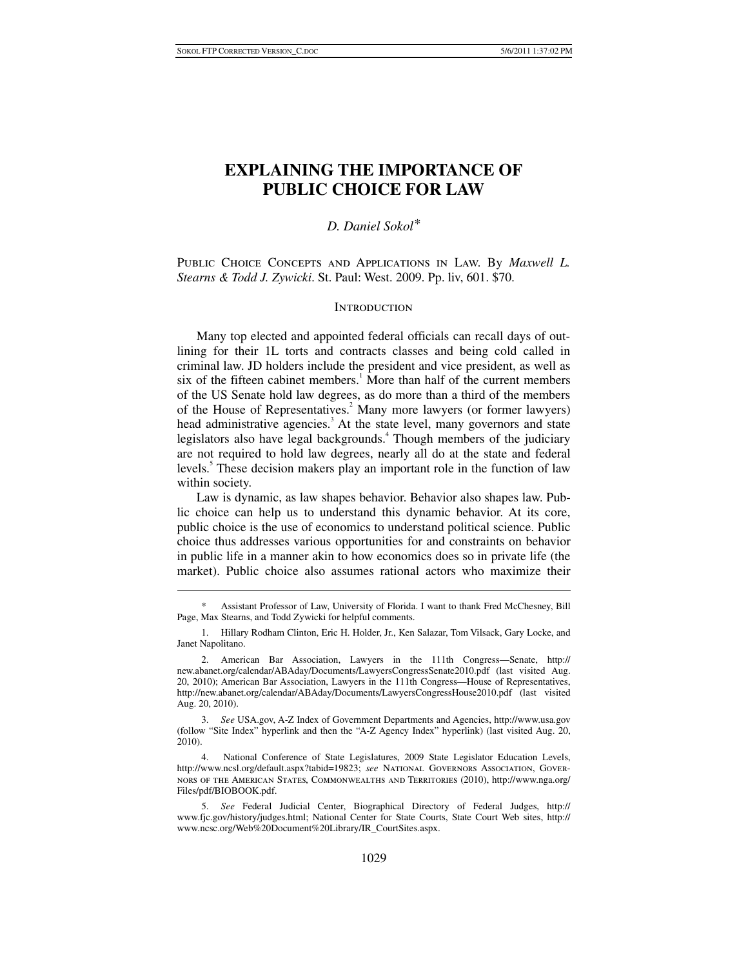## **EXPLAINING THE IMPORTANCE OF PUBLIC CHOICE FOR LAW**

## *D. Daniel Sokol\**

PUBLIC CHOICE CONCEPTS AND APPLICATIONS IN LAW. By *Maxwell L. Stearns & Todd J. Zywicki*. St. Paul: West. 2009. Pp. liv, 601. \$70.

#### **INTRODUCTION**

Many top elected and appointed federal officials can recall days of outlining for their 1L torts and contracts classes and being cold called in criminal law. JD holders include the president and vice president, as well as six of the fifteen cabinet members.<sup>1</sup> More than half of the current members of the US Senate hold law degrees, as do more than a third of the members of the House of Representatives.<sup>2</sup> Many more lawyers (or former lawyers) head administrative agencies.<sup>3</sup> At the state level, many governors and state legislators also have legal backgrounds.<sup>4</sup> Though members of the judiciary are not required to hold law degrees, nearly all do at the state and federal levels.<sup>5</sup> These decision makers play an important role in the function of law within society.

Law is dynamic, as law shapes behavior. Behavior also shapes law. Public choice can help us to understand this dynamic behavior. At its core, public choice is the use of economics to understand political science. Public choice thus addresses various opportunities for and constraints on behavior in public life in a manner akin to how economics does so in private life (the market). Public choice also assumes rational actors who maximize their

 $\ddot{\phantom{a}}$ 

 3. *See* USA.gov, A-Z Index of Government Departments and Agencies, http://www.usa.gov (follow "Site Index" hyperlink and then the "A-Z Agency Index" hyperlink) (last visited Aug. 20, 2010).

 4. National Conference of State Legislatures, 2009 State Legislator Education Levels, http://www.ncsl.org/default.aspx?tabid=19823; *see* National Governors Association, Governors of the American States, Commonwealths and Territories (2010), http://www.nga.org/ Files/pdf/BIOBOOK.pdf.

Assistant Professor of Law, University of Florida. I want to thank Fred McChesney, Bill Page, Max Stearns, and Todd Zywicki for helpful comments.

 <sup>1.</sup> Hillary Rodham Clinton, Eric H. Holder, Jr., Ken Salazar, Tom Vilsack, Gary Locke, and Janet Napolitano.

 <sup>2.</sup> American Bar Association, Lawyers in the 111th Congress—Senate, http:// new.abanet.org/calendar/ABAday/Documents/LawyersCongressSenate2010.pdf (last visited Aug. 20, 2010); American Bar Association, Lawyers in the 111th Congress—House of Representatives, http://new.abanet.org/calendar/ABAday/Documents/LawyersCongressHouse2010.pdf (last visited Aug. 20, 2010).

 <sup>5.</sup> *See* Federal Judicial Center, Biographical Directory of Federal Judges, http:// www.fjc.gov/history/judges.html; National Center for State Courts, State Court Web sites, http:// www.ncsc.org/Web%20Document%20Library/IR\_CourtSites.aspx.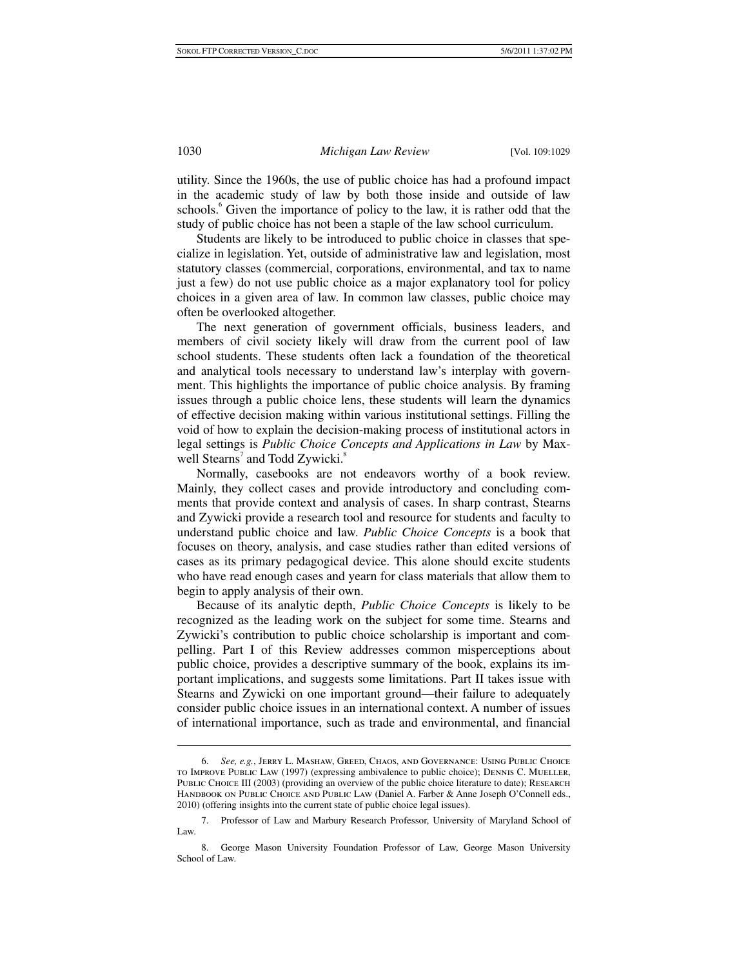utility. Since the 1960s, the use of public choice has had a profound impact in the academic study of law by both those inside and outside of law schools.<sup>6</sup> Given the importance of policy to the law, it is rather odd that the study of public choice has not been a staple of the law school curriculum.

Students are likely to be introduced to public choice in classes that specialize in legislation. Yet, outside of administrative law and legislation, most statutory classes (commercial, corporations, environmental, and tax to name just a few) do not use public choice as a major explanatory tool for policy choices in a given area of law. In common law classes, public choice may often be overlooked altogether.

The next generation of government officials, business leaders, and members of civil society likely will draw from the current pool of law school students. These students often lack a foundation of the theoretical and analytical tools necessary to understand law's interplay with government. This highlights the importance of public choice analysis. By framing issues through a public choice lens, these students will learn the dynamics of effective decision making within various institutional settings. Filling the void of how to explain the decision-making process of institutional actors in legal settings is *Public Choice Concepts and Applications in Law* by Maxwell Stearns<sup>7</sup> and Todd Zywicki.<sup>8</sup>

Normally, casebooks are not endeavors worthy of a book review. Mainly, they collect cases and provide introductory and concluding comments that provide context and analysis of cases. In sharp contrast, Stearns and Zywicki provide a research tool and resource for students and faculty to understand public choice and law. *Public Choice Concepts* is a book that focuses on theory, analysis, and case studies rather than edited versions of cases as its primary pedagogical device. This alone should excite students who have read enough cases and yearn for class materials that allow them to begin to apply analysis of their own.

Because of its analytic depth, *Public Choice Concepts* is likely to be recognized as the leading work on the subject for some time. Stearns and Zywicki's contribution to public choice scholarship is important and compelling. Part I of this Review addresses common misperceptions about public choice, provides a descriptive summary of the book, explains its important implications, and suggests some limitations. Part II takes issue with Stearns and Zywicki on one important ground—their failure to adequately consider public choice issues in an international context. A number of issues of international importance, such as trade and environmental, and financial

 $\ddot{\phantom{a}}$ 

 <sup>6.</sup> *See, e.g.*, Jerry L. Mashaw, Greed, Chaos, and Governance: Using Public Choice to Improve Public Law (1997) (expressing ambivalence to public choice); Dennis C. Mueller, PUBLIC CHOICE III (2003) (providing an overview of the public choice literature to date); RESEARCH Handbook on Public Choice and Public Law (Daniel A. Farber & Anne Joseph O'Connell eds., 2010) (offering insights into the current state of public choice legal issues).

 <sup>7.</sup> Professor of Law and Marbury Research Professor, University of Maryland School of Law.

 <sup>8.</sup> George Mason University Foundation Professor of Law, George Mason University School of Law.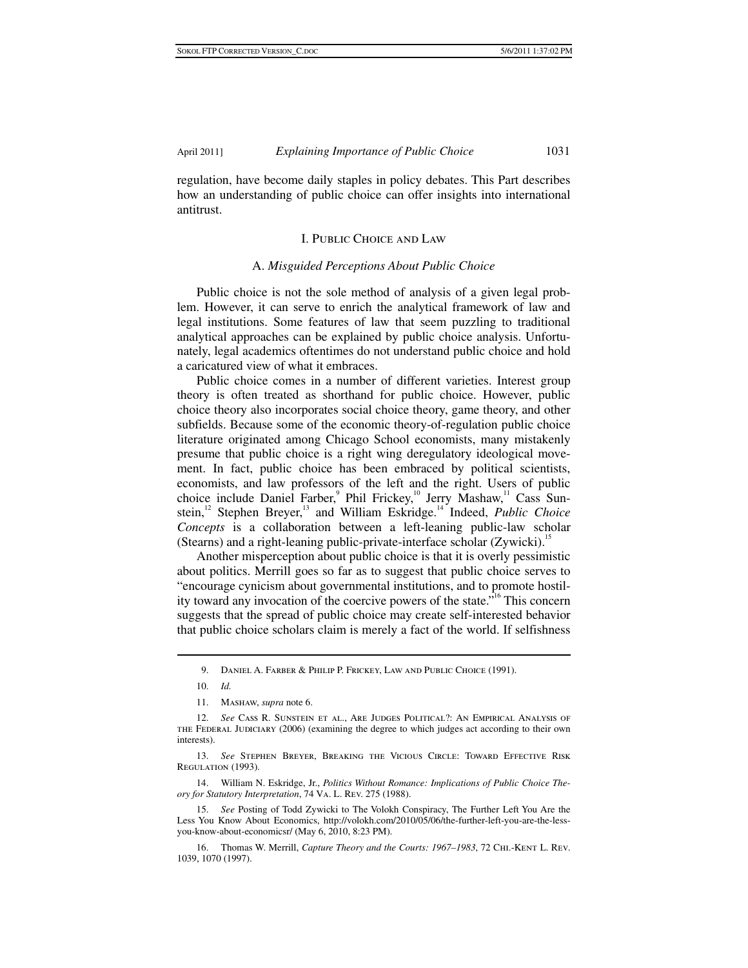regulation, have become daily staples in policy debates. This Part describes how an understanding of public choice can offer insights into international antitrust.

#### I. Public Choice and Law

#### A. *Misguided Perceptions About Public Choice*

Public choice is not the sole method of analysis of a given legal problem. However, it can serve to enrich the analytical framework of law and legal institutions. Some features of law that seem puzzling to traditional analytical approaches can be explained by public choice analysis. Unfortunately, legal academics oftentimes do not understand public choice and hold a caricatured view of what it embraces.

Public choice comes in a number of different varieties. Interest group theory is often treated as shorthand for public choice. However, public choice theory also incorporates social choice theory, game theory, and other subfields. Because some of the economic theory-of-regulation public choice literature originated among Chicago School economists, many mistakenly presume that public choice is a right wing deregulatory ideological movement. In fact, public choice has been embraced by political scientists, economists, and law professors of the left and the right. Users of public choice include Daniel Farber,<sup>9</sup> Phil Frickey,<sup>10</sup> Jerry Mashaw,<sup>11</sup> Cass Sunstein,<sup>12</sup> Stephen Breyer,<sup>13</sup> and William Eskridge.<sup>14</sup> Indeed, *Public Choice Concepts* is a collaboration between a left-leaning public-law scholar (Stearns) and a right-leaning public-private-interface scholar (Zywicki).<sup>15</sup>

Another misperception about public choice is that it is overly pessimistic about politics. Merrill goes so far as to suggest that public choice serves to "encourage cynicism about governmental institutions, and to promote hostility toward any invocation of the coercive powers of the state."16 This concern suggests that the spread of public choice may create self-interested behavior that public choice scholars claim is merely a fact of the world. If selfishness

10. *Id.*

1

 13. *See* Stephen Breyer, Breaking the Vicious Circle: Toward Effective Risk REGULATION (1993).

 14. William N. Eskridge, Jr., *Politics Without Romance: Implications of Public Choice Theory for Statutory Interpretation*, 74 Va. L. Rev. 275 (1988).

 15. *See* Posting of Todd Zywicki to The Volokh Conspiracy, The Further Left You Are the Less You Know About Economics, http://volokh.com/2010/05/06/the-further-left-you-are-the-lessyou-know-about-economicsr/ (May 6, 2010, 8:23 PM).

 16. Thomas W. Merrill, *Capture Theory and the Courts: 1967–1983*, 72 Chi.-Kent L. Rev. 1039, 1070 (1997).

 <sup>9.</sup> Daniel A. Farber & Philip P. Frickey, Law and Public Choice (1991).

 <sup>11.</sup> Mashaw, *supra* note 6.

 <sup>12.</sup> *See* Cass R. Sunstein et al., Are Judges Political?: An Empirical Analysis of the Federal Judiciary (2006) (examining the degree to which judges act according to their own interests).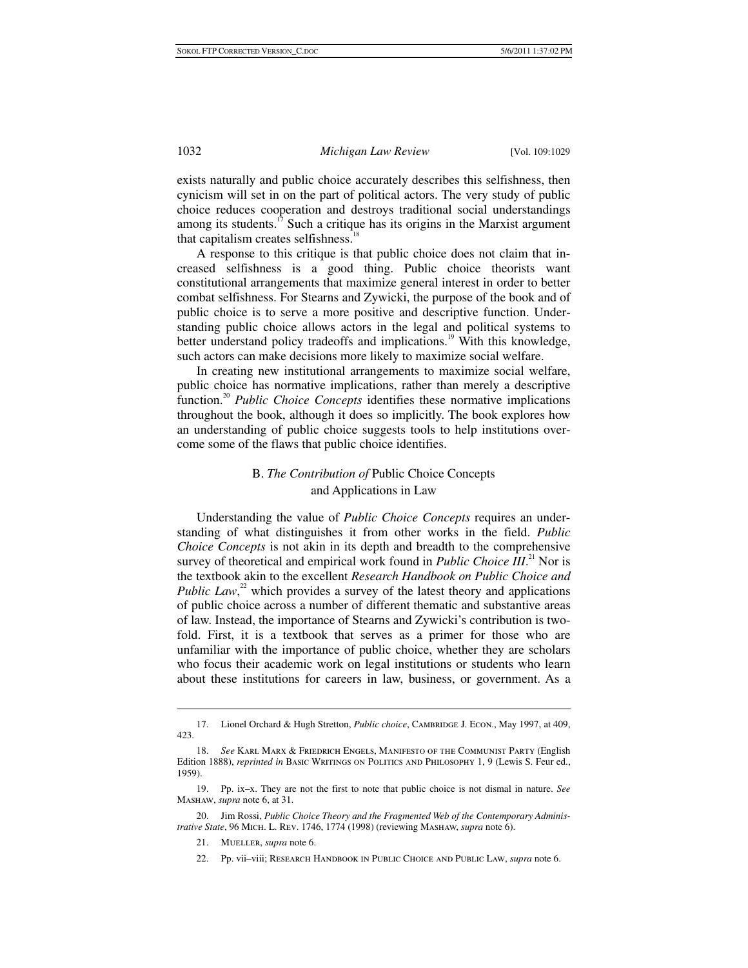exists naturally and public choice accurately describes this selfishness, then cynicism will set in on the part of political actors. The very study of public choice reduces cooperation and destroys traditional social understandings among its students.<sup>17</sup> Such a critique has its origins in the Marxist argument that capitalism creates selfishness. $18$ 

A response to this critique is that public choice does not claim that increased selfishness is a good thing. Public choice theorists want constitutional arrangements that maximize general interest in order to better combat selfishness. For Stearns and Zywicki, the purpose of the book and of public choice is to serve a more positive and descriptive function. Understanding public choice allows actors in the legal and political systems to better understand policy tradeoffs and implications.<sup>19</sup> With this knowledge, such actors can make decisions more likely to maximize social welfare.

In creating new institutional arrangements to maximize social welfare, public choice has normative implications, rather than merely a descriptive function.20 *Public Choice Concepts* identifies these normative implications throughout the book, although it does so implicitly. The book explores how an understanding of public choice suggests tools to help institutions overcome some of the flaws that public choice identifies.

### B. *The Contribution of* Public Choice Concepts and Applications in Law

Understanding the value of *Public Choice Concepts* requires an understanding of what distinguishes it from other works in the field. *Public Choice Concepts* is not akin in its depth and breadth to the comprehensive survey of theoretical and empirical work found in *Public Choice III*.<sup>21</sup> Nor is the textbook akin to the excellent *Research Handbook on Public Choice and*  Public Law,<sup>22</sup> which provides a survey of the latest theory and applications of public choice across a number of different thematic and substantive areas of law. Instead, the importance of Stearns and Zywicki's contribution is twofold. First, it is a textbook that serves as a primer for those who are unfamiliar with the importance of public choice, whether they are scholars who focus their academic work on legal institutions or students who learn about these institutions for careers in law, business, or government. As a

 $\overline{a}$ 

22. Pp. vii–viii; Research Handbook in Public Choice and Public Law, *supra* note 6.

<sup>17.</sup> Lionel Orchard & Hugh Stretton, *Public choice*, CAMBRIDGE J. ECON., May 1997, at 409, 423.

 <sup>18.</sup> *See* Karl Marx & Friedrich Engels, Manifesto of the Communist Party (English Edition 1888), *reprinted in* BASIC WRITINGS ON POLITICS AND PHILOSOPHY 1, 9 (Lewis S. Feur ed., 1959).

 <sup>19.</sup> Pp. ix–x. They are not the first to note that public choice is not dismal in nature. *See* Mashaw, *supra* note 6, at 31.

 <sup>20.</sup> Jim Rossi, *Public Choice Theory and the Fragmented Web of the Contemporary Administrative State*, 96 Mich. L. Rev. 1746, 1774 (1998) (reviewing Mashaw, *supra* note 6).

 <sup>21.</sup> Mueller, *supra* note 6.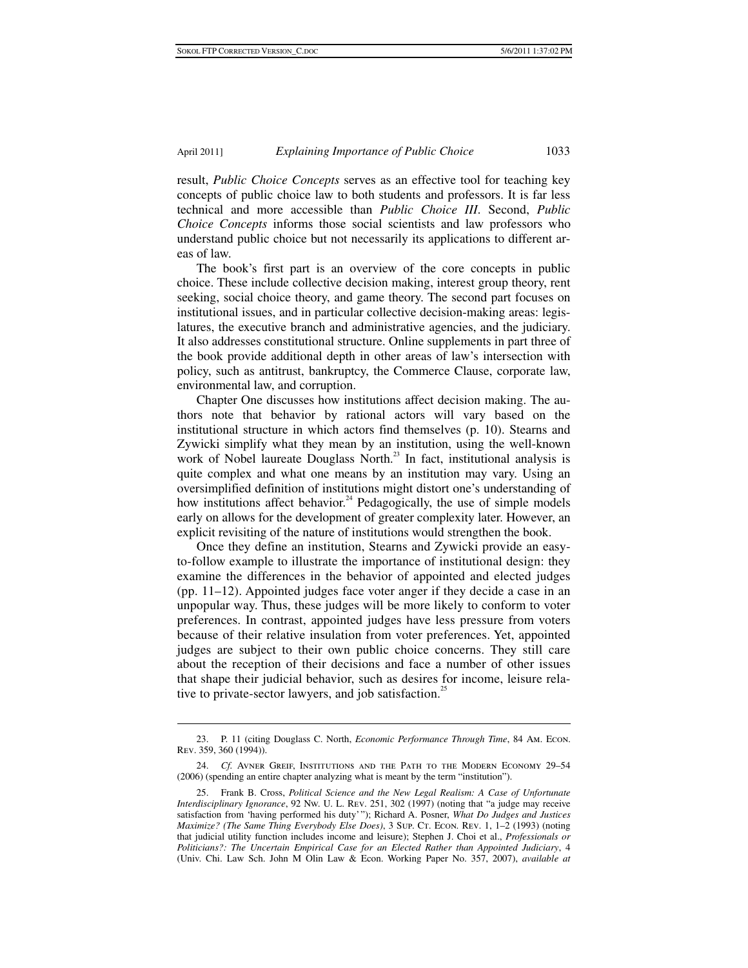result, *Public Choice Concepts* serves as an effective tool for teaching key concepts of public choice law to both students and professors. It is far less technical and more accessible than *Public Choice III*. Second, *Public Choice Concepts* informs those social scientists and law professors who understand public choice but not necessarily its applications to different areas of law.

The book's first part is an overview of the core concepts in public choice. These include collective decision making, interest group theory, rent seeking, social choice theory, and game theory. The second part focuses on institutional issues, and in particular collective decision-making areas: legislatures, the executive branch and administrative agencies, and the judiciary. It also addresses constitutional structure. Online supplements in part three of the book provide additional depth in other areas of law's intersection with policy, such as antitrust, bankruptcy, the Commerce Clause, corporate law, environmental law, and corruption.

Chapter One discusses how institutions affect decision making. The authors note that behavior by rational actors will vary based on the institutional structure in which actors find themselves (p. 10). Stearns and Zywicki simplify what they mean by an institution, using the well-known work of Nobel laureate Douglass North.<sup>23</sup> In fact, institutional analysis is quite complex and what one means by an institution may vary. Using an oversimplified definition of institutions might distort one's understanding of how institutions affect behavior.<sup>24</sup> Pedagogically, the use of simple models early on allows for the development of greater complexity later. However, an explicit revisiting of the nature of institutions would strengthen the book.

Once they define an institution, Stearns and Zywicki provide an easyto-follow example to illustrate the importance of institutional design: they examine the differences in the behavior of appointed and elected judges (pp. 11–12). Appointed judges face voter anger if they decide a case in an unpopular way. Thus, these judges will be more likely to conform to voter preferences. In contrast, appointed judges have less pressure from voters because of their relative insulation from voter preferences. Yet, appointed judges are subject to their own public choice concerns. They still care about the reception of their decisions and face a number of other issues that shape their judicial behavior, such as desires for income, leisure relative to private-sector lawyers, and job satisfaction.<sup>25</sup>

 <sup>23.</sup> P. 11 (citing Douglass C. North, *Economic Performance Through Time*, 84 Am. Econ. Rev. 359, 360 (1994)).

 <sup>24.</sup> *Cf.* Avner Greif, Institutions and the Path to the Modern Economy 29–54 (2006) (spending an entire chapter analyzing what is meant by the term "institution").

 <sup>25.</sup> Frank B. Cross, *Political Science and the New Legal Realism: A Case of Unfortunate Interdisciplinary Ignorance*, 92 Nw. U. L. Rev. 251, 302 (1997) (noting that "a judge may receive satisfaction from 'having performed his duty' "); Richard A. Posner, *What Do Judges and Justices Maximize? (The Same Thing Everybody Else Does)*, 3 SUP. CT. ECON. REV. 1, 1–2 (1993) (noting that judicial utility function includes income and leisure); Stephen J. Choi et al., *Professionals or Politicians?: The Uncertain Empirical Case for an Elected Rather than Appointed Judiciary*, 4 (Univ. Chi. Law Sch. John M Olin Law & Econ. Working Paper No. 357, 2007), *available at*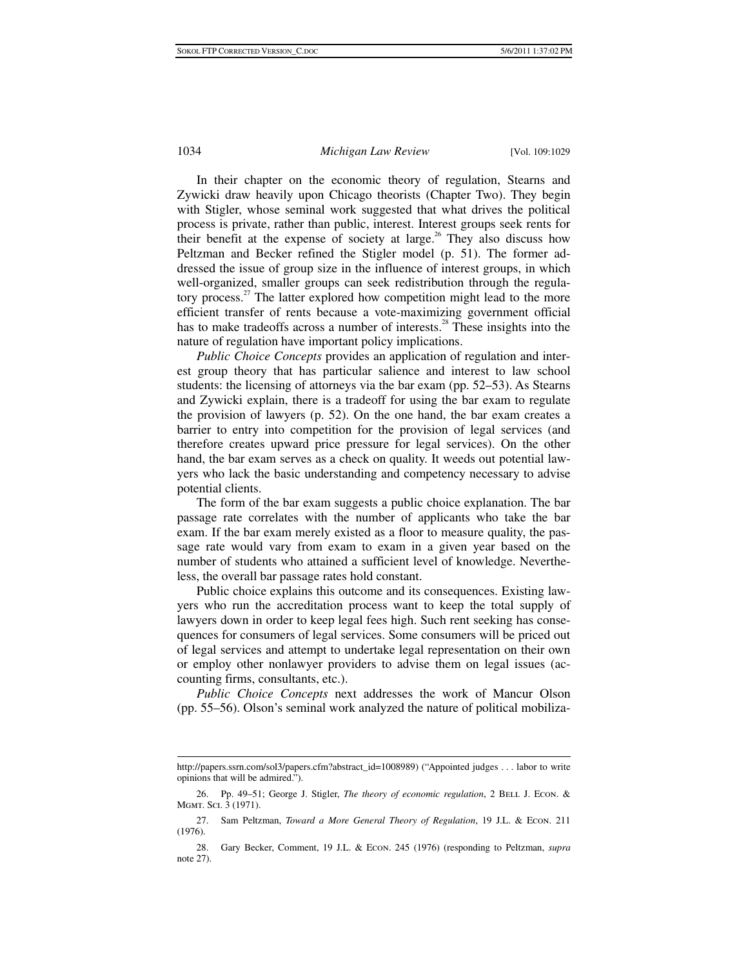In their chapter on the economic theory of regulation, Stearns and Zywicki draw heavily upon Chicago theorists (Chapter Two). They begin with Stigler, whose seminal work suggested that what drives the political process is private, rather than public, interest. Interest groups seek rents for their benefit at the expense of society at large.<sup>26</sup> They also discuss how Peltzman and Becker refined the Stigler model (p. 51). The former addressed the issue of group size in the influence of interest groups, in which well-organized, smaller groups can seek redistribution through the regulatory process.<sup>27</sup> The latter explored how competition might lead to the more efficient transfer of rents because a vote-maximizing government official has to make tradeoffs across a number of interests.<sup>28</sup> These insights into the nature of regulation have important policy implications.

*Public Choice Concepts* provides an application of regulation and interest group theory that has particular salience and interest to law school students: the licensing of attorneys via the bar exam (pp. 52–53). As Stearns and Zywicki explain, there is a tradeoff for using the bar exam to regulate the provision of lawyers (p. 52). On the one hand, the bar exam creates a barrier to entry into competition for the provision of legal services (and therefore creates upward price pressure for legal services). On the other hand, the bar exam serves as a check on quality. It weeds out potential lawyers who lack the basic understanding and competency necessary to advise potential clients.

The form of the bar exam suggests a public choice explanation. The bar passage rate correlates with the number of applicants who take the bar exam. If the bar exam merely existed as a floor to measure quality, the passage rate would vary from exam to exam in a given year based on the number of students who attained a sufficient level of knowledge. Nevertheless, the overall bar passage rates hold constant.

Public choice explains this outcome and its consequences. Existing lawyers who run the accreditation process want to keep the total supply of lawyers down in order to keep legal fees high. Such rent seeking has consequences for consumers of legal services. Some consumers will be priced out of legal services and attempt to undertake legal representation on their own or employ other nonlawyer providers to advise them on legal issues (accounting firms, consultants, etc.).

*Public Choice Concepts* next addresses the work of Mancur Olson (pp. 55–56). Olson's seminal work analyzed the nature of political mobiliza-

 http://papers.ssrn.com/sol3/papers.cfm?abstract\_id=1008989) ("Appointed judges . . . labor to write opinions that will be admired.").

<sup>26.</sup> Pp. 49-51; George J. Stigler, *The theory of economic regulation*, 2 BELL J. Econ. & Mgmt. Sci. 3 (1971).

 <sup>27.</sup> Sam Peltzman, *Toward a More General Theory of Regulation*, 19 J.L. & Econ. 211 (1976).

 <sup>28.</sup> Gary Becker, Comment, 19 J.L. & Econ. 245 (1976) (responding to Peltzman, *supra* note 27).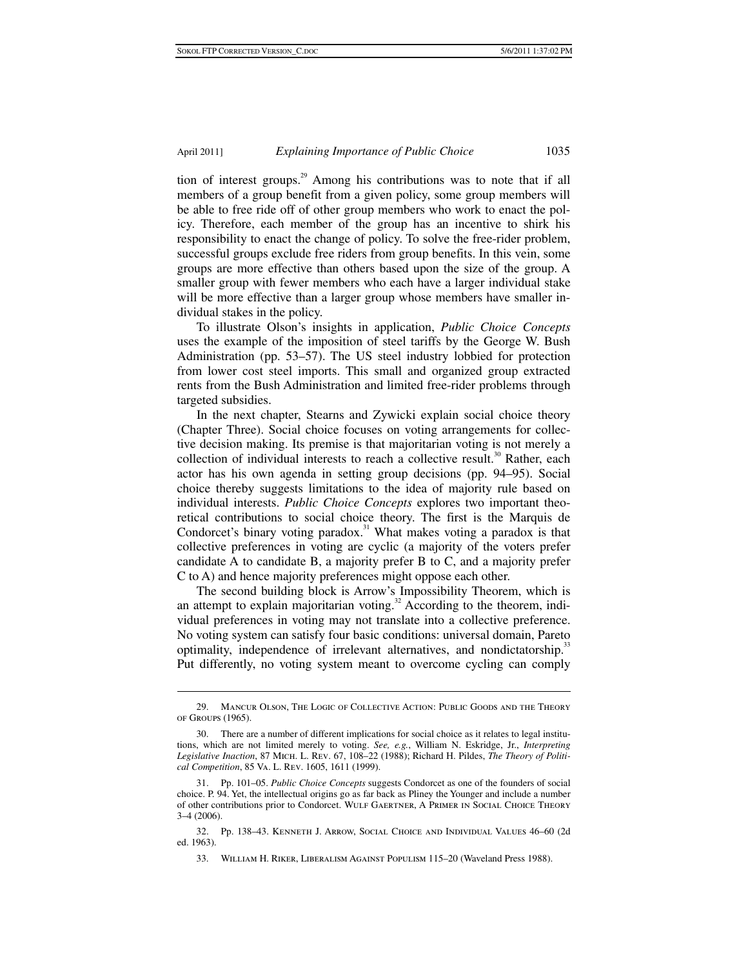tion of interest groups.<sup>29</sup> Among his contributions was to note that if all members of a group benefit from a given policy, some group members will be able to free ride off of other group members who work to enact the policy. Therefore, each member of the group has an incentive to shirk his responsibility to enact the change of policy. To solve the free-rider problem, successful groups exclude free riders from group benefits. In this vein, some groups are more effective than others based upon the size of the group. A smaller group with fewer members who each have a larger individual stake will be more effective than a larger group whose members have smaller individual stakes in the policy.

To illustrate Olson's insights in application, *Public Choice Concepts* uses the example of the imposition of steel tariffs by the George W. Bush Administration (pp. 53–57). The US steel industry lobbied for protection from lower cost steel imports. This small and organized group extracted rents from the Bush Administration and limited free-rider problems through targeted subsidies.

In the next chapter, Stearns and Zywicki explain social choice theory (Chapter Three). Social choice focuses on voting arrangements for collective decision making. Its premise is that majoritarian voting is not merely a collection of individual interests to reach a collective result.<sup>30</sup> Rather, each actor has his own agenda in setting group decisions (pp. 94–95). Social choice thereby suggests limitations to the idea of majority rule based on individual interests. *Public Choice Concepts* explores two important theoretical contributions to social choice theory. The first is the Marquis de Condorcet's binary voting paradox.<sup>31</sup> What makes voting a paradox is that collective preferences in voting are cyclic (a majority of the voters prefer candidate A to candidate B, a majority prefer B to C, and a majority prefer C to A) and hence majority preferences might oppose each other.

The second building block is Arrow's Impossibility Theorem, which is an attempt to explain majoritarian voting. $32$  According to the theorem, individual preferences in voting may not translate into a collective preference. No voting system can satisfy four basic conditions: universal domain, Pareto optimality, independence of irrelevant alternatives, and nondictatorship.<sup>33</sup> Put differently, no voting system meant to overcome cycling can comply

 <sup>29.</sup> Mancur Olson, The Logic of Collective Action: Public Goods and the Theory of Groups (1965).

 <sup>30.</sup> There are a number of different implications for social choice as it relates to legal institutions, which are not limited merely to voting. *See, e.g.*, William N. Eskridge, Jr., *Interpreting Legislative Inaction*, 87 Mich. L. Rev. 67, 108–22 (1988); Richard H. Pildes, *The Theory of Political Competition*, 85 Va. L. Rev. 1605, 1611 (1999).

 <sup>31.</sup> Pp. 101–05. *Public Choice Concepts* suggests Condorcet as one of the founders of social choice. P. 94. Yet, the intellectual origins go as far back as Pliney the Younger and include a number of other contributions prior to Condorcet. Wulf Gaertner, A Primer in Social Choice Theory 3–4 (2006).

 <sup>32.</sup> Pp. 138–43. Kenneth J. Arrow, Social Choice and Individual Values 46–60 (2d ed. 1963).

 <sup>33.</sup> William H. Riker, Liberalism Against Populism 115–20 (Waveland Press 1988).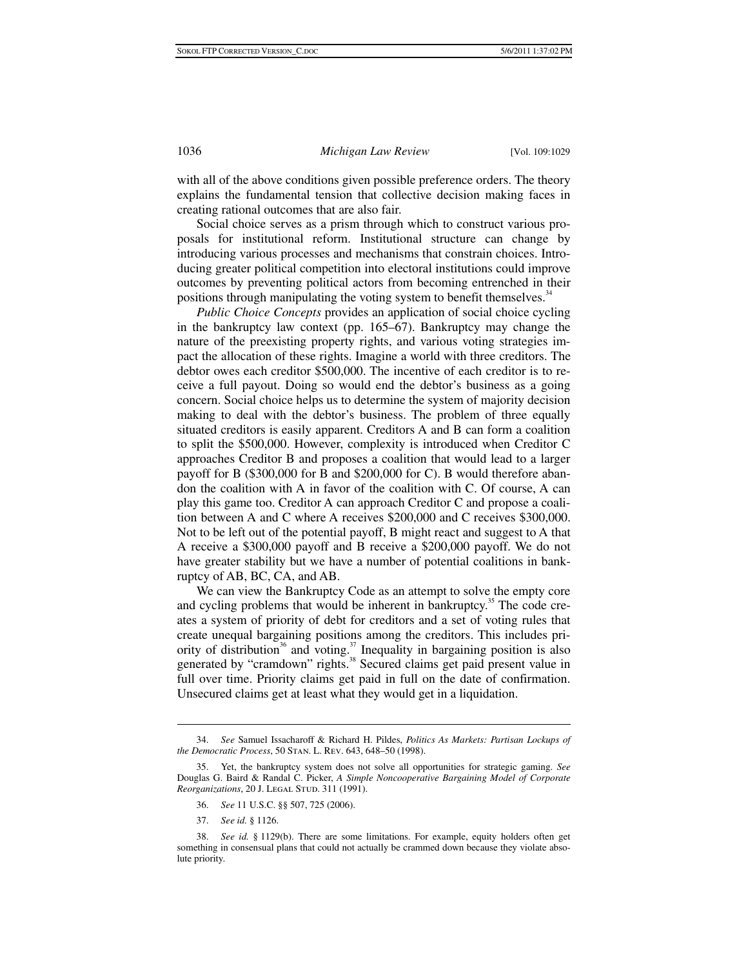with all of the above conditions given possible preference orders. The theory explains the fundamental tension that collective decision making faces in creating rational outcomes that are also fair.

Social choice serves as a prism through which to construct various proposals for institutional reform. Institutional structure can change by introducing various processes and mechanisms that constrain choices. Introducing greater political competition into electoral institutions could improve outcomes by preventing political actors from becoming entrenched in their positions through manipulating the voting system to benefit themselves.<sup>34</sup>

*Public Choice Concepts* provides an application of social choice cycling in the bankruptcy law context (pp. 165–67). Bankruptcy may change the nature of the preexisting property rights, and various voting strategies impact the allocation of these rights. Imagine a world with three creditors. The debtor owes each creditor \$500,000. The incentive of each creditor is to receive a full payout. Doing so would end the debtor's business as a going concern. Social choice helps us to determine the system of majority decision making to deal with the debtor's business. The problem of three equally situated creditors is easily apparent. Creditors A and B can form a coalition to split the \$500,000. However, complexity is introduced when Creditor C approaches Creditor B and proposes a coalition that would lead to a larger payoff for B (\$300,000 for B and \$200,000 for C). B would therefore abandon the coalition with A in favor of the coalition with C. Of course, A can play this game too. Creditor A can approach Creditor C and propose a coalition between A and C where A receives \$200,000 and C receives \$300,000. Not to be left out of the potential payoff, B might react and suggest to A that A receive a \$300,000 payoff and B receive a \$200,000 payoff. We do not have greater stability but we have a number of potential coalitions in bankruptcy of AB, BC, CA, and AB.

We can view the Bankruptcy Code as an attempt to solve the empty core and cycling problems that would be inherent in bankruptcy.<sup>35</sup> The code creates a system of priority of debt for creditors and a set of voting rules that create unequal bargaining positions among the creditors. This includes priority of distribution<sup>36</sup> and voting.<sup>37</sup> Inequality in bargaining position is also generated by "cramdown" rights.<sup>38</sup> Secured claims get paid present value in full over time. Priority claims get paid in full on the date of confirmation. Unsecured claims get at least what they would get in a liquidation.

37. *See id.* § 1126.

 <sup>34.</sup> *See* Samuel Issacharoff & Richard H. Pildes, *Politics As Markets: Partisan Lockups of the Democratic Process*, 50 Stan. L. Rev. 643, 648–50 (1998).

 <sup>35.</sup> Yet, the bankruptcy system does not solve all opportunities for strategic gaming. *See* Douglas G. Baird & Randal C. Picker, *A Simple Noncooperative Bargaining Model of Corporate*  Reorganizations, 20 J. LEGAL STUD. 311 (1991).

 <sup>36.</sup> *See* 11 U.S.C. §§ 507, 725 (2006).

 <sup>38.</sup> *See id.* § 1129(b). There are some limitations. For example, equity holders often get something in consensual plans that could not actually be crammed down because they violate absolute priority.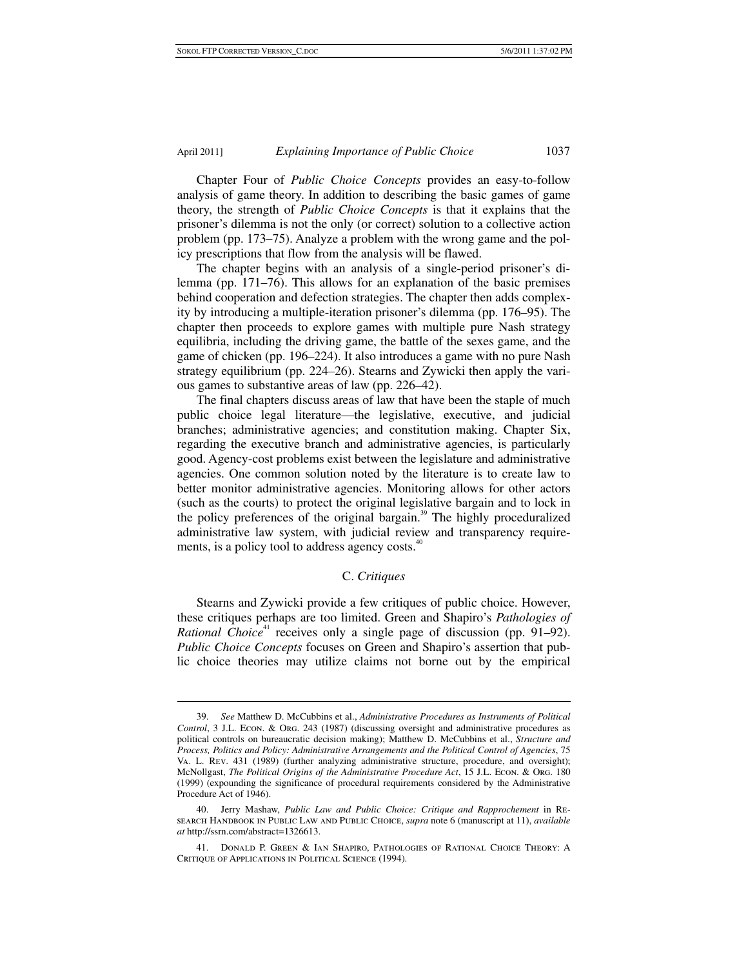Chapter Four of *Public Choice Concepts* provides an easy-to-follow analysis of game theory. In addition to describing the basic games of game theory, the strength of *Public Choice Concepts* is that it explains that the prisoner's dilemma is not the only (or correct) solution to a collective action problem (pp. 173–75). Analyze a problem with the wrong game and the policy prescriptions that flow from the analysis will be flawed.

The chapter begins with an analysis of a single-period prisoner's dilemma (pp. 171–76). This allows for an explanation of the basic premises behind cooperation and defection strategies. The chapter then adds complexity by introducing a multiple-iteration prisoner's dilemma (pp. 176–95). The chapter then proceeds to explore games with multiple pure Nash strategy equilibria, including the driving game, the battle of the sexes game, and the game of chicken (pp. 196–224). It also introduces a game with no pure Nash strategy equilibrium (pp. 224–26). Stearns and Zywicki then apply the various games to substantive areas of law (pp. 226–42).

The final chapters discuss areas of law that have been the staple of much public choice legal literature—the legislative, executive, and judicial branches; administrative agencies; and constitution making. Chapter Six, regarding the executive branch and administrative agencies, is particularly good. Agency-cost problems exist between the legislature and administrative agencies. One common solution noted by the literature is to create law to better monitor administrative agencies. Monitoring allows for other actors (such as the courts) to protect the original legislative bargain and to lock in the policy preferences of the original bargain.<sup>39</sup> The highly proceduralized administrative law system, with judicial review and transparency requirements, is a policy tool to address agency costs.<sup>40</sup>

#### C. *Critiques*

Stearns and Zywicki provide a few critiques of public choice. However, these critiques perhaps are too limited. Green and Shapiro's *Pathologies of Rational Choice*<sup>41</sup> receives only a single page of discussion (pp.  $91-92$ ). *Public Choice Concepts* focuses on Green and Shapiro's assertion that public choice theories may utilize claims not borne out by the empirical

 <sup>39.</sup> *See* Matthew D. McCubbins et al., *Administrative Procedures as Instruments of Political Control*, 3 J.L. Econ. & Org. 243 (1987) (discussing oversight and administrative procedures as political controls on bureaucratic decision making); Matthew D. McCubbins et al., *Structure and Process, Politics and Policy: Administrative Arrangements and the Political Control of Agencies*, 75 Va. L. Rev. 431 (1989) (further analyzing administrative structure, procedure, and oversight); McNollgast, *The Political Origins of the Administrative Procedure Act*, 15 J.L. Econ. & Org. 180 (1999) (expounding the significance of procedural requirements considered by the Administrative Procedure Act of 1946).

 <sup>40.</sup> Jerry Mashaw, *Public Law and Public Choice: Critique and Rapprochement* in Research Handbook in Public Law and Public Choice, *supra* note 6 (manuscript at 11), *available at* http://ssrn.com/abstract=1326613.

 <sup>41.</sup> Donald P. Green & Ian Shapiro, Pathologies of Rational Choice Theory: A Critique of Applications in Political Science (1994).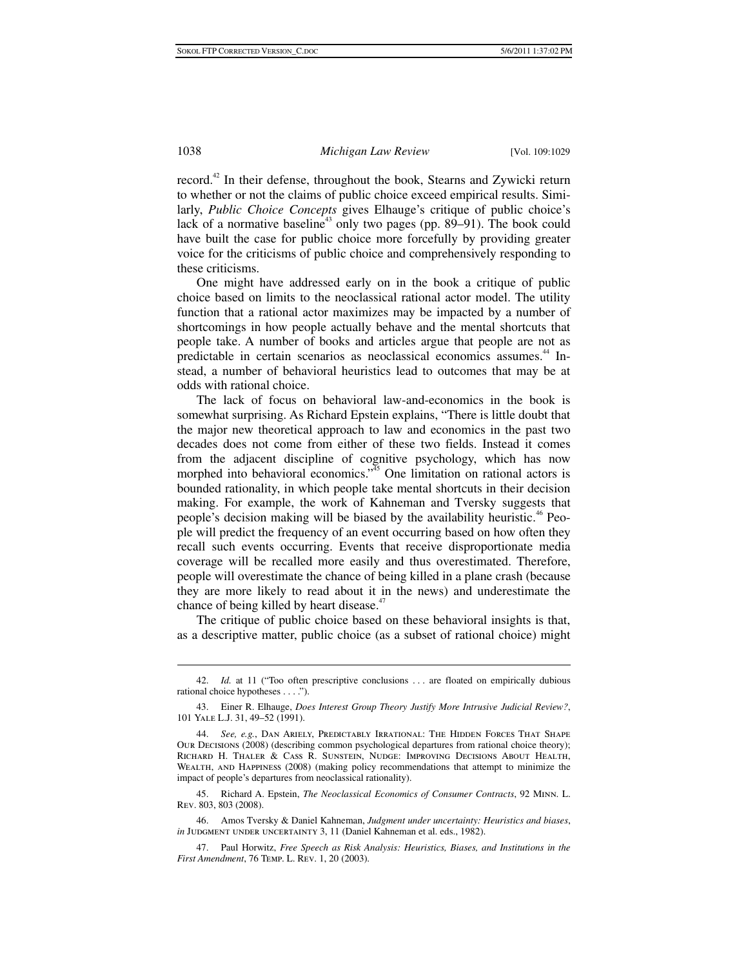record.<sup>42</sup> In their defense, throughout the book, Stearns and Zywicki return to whether or not the claims of public choice exceed empirical results. Similarly, *Public Choice Concepts* gives Elhauge's critique of public choice's lack of a normative baseline<sup>43</sup> only two pages (pp. 89–91). The book could have built the case for public choice more forcefully by providing greater voice for the criticisms of public choice and comprehensively responding to these criticisms.

One might have addressed early on in the book a critique of public choice based on limits to the neoclassical rational actor model. The utility function that a rational actor maximizes may be impacted by a number of shortcomings in how people actually behave and the mental shortcuts that people take. A number of books and articles argue that people are not as predictable in certain scenarios as neoclassical economics assumes.<sup>44</sup> Instead, a number of behavioral heuristics lead to outcomes that may be at odds with rational choice.

The lack of focus on behavioral law-and-economics in the book is somewhat surprising. As Richard Epstein explains, "There is little doubt that the major new theoretical approach to law and economics in the past two decades does not come from either of these two fields. Instead it comes from the adjacent discipline of cognitive psychology, which has now morphed into behavioral economics."<sup>45</sup> One limitation on rational actors is bounded rationality, in which people take mental shortcuts in their decision making. For example, the work of Kahneman and Tversky suggests that people's decision making will be biased by the availability heuristic.<sup>46</sup> People will predict the frequency of an event occurring based on how often they recall such events occurring. Events that receive disproportionate media coverage will be recalled more easily and thus overestimated. Therefore, people will overestimate the chance of being killed in a plane crash (because they are more likely to read about it in the news) and underestimate the chance of being killed by heart disease.<sup>47</sup>

The critique of public choice based on these behavioral insights is that, as a descriptive matter, public choice (as a subset of rational choice) might

 <sup>42.</sup> *Id.* at 11 ("Too often prescriptive conclusions . . . are floated on empirically dubious rational choice hypotheses . . . .").

 <sup>43.</sup> Einer R. Elhauge, *Does Interest Group Theory Justify More Intrusive Judicial Review?*, 101 Yale L.J. 31, 49–52 (1991).

 <sup>44.</sup> *See, e.g.*, Dan Ariely, Predictably Irrational: The Hidden Forces That Shape Our Decisions (2008) (describing common psychological departures from rational choice theory); Richard H. Thaler & Cass R. Sunstein, Nudge: Improving Decisions About Health, Wealth, and Happiness (2008) (making policy recommendations that attempt to minimize the impact of people's departures from neoclassical rationality).

 <sup>45.</sup> Richard A. Epstein, *The Neoclassical Economics of Consumer Contracts*, 92 Minn. L. Rev. 803, 803 (2008).

 <sup>46.</sup> Amos Tversky & Daniel Kahneman, *Judgment under uncertainty: Heuristics and biases*, *in* JUDGMENT UNDER UNCERTAINTY 3, 11 (Daniel Kahneman et al. eds., 1982).

 <sup>47.</sup> Paul Horwitz, *Free Speech as Risk Analysis: Heuristics, Biases, and Institutions in the First Amendment*, 76 Temp. L. Rev. 1, 20 (2003).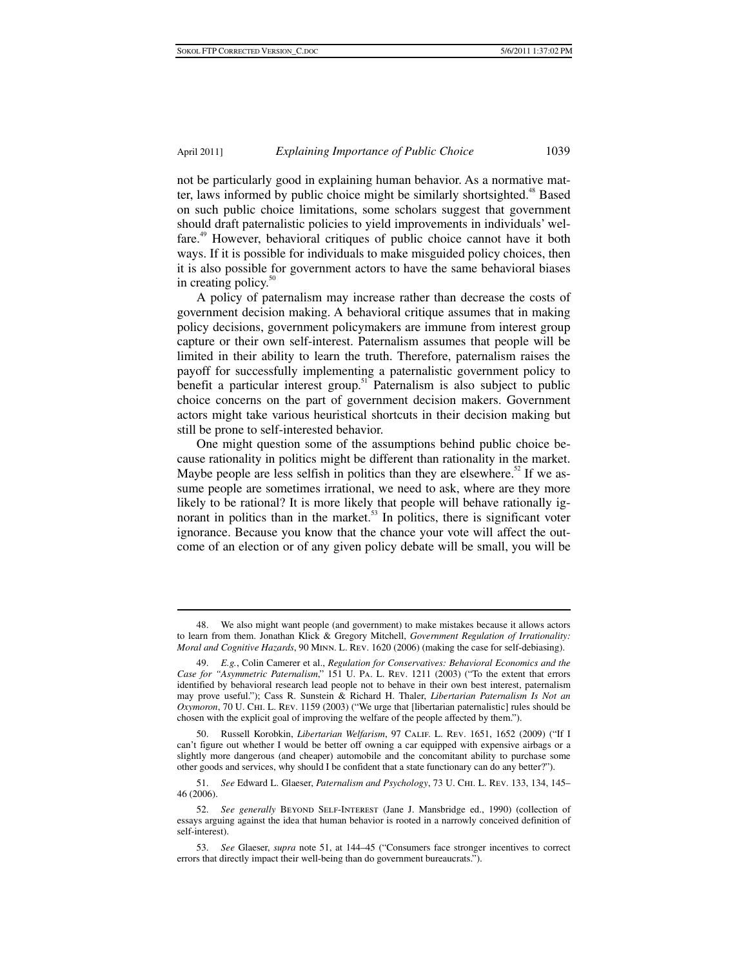not be particularly good in explaining human behavior. As a normative matter, laws informed by public choice might be similarly shortsighted.<sup>48</sup> Based on such public choice limitations, some scholars suggest that government should draft paternalistic policies to yield improvements in individuals' welfare.<sup>49</sup> However, behavioral critiques of public choice cannot have it both ways. If it is possible for individuals to make misguided policy choices, then it is also possible for government actors to have the same behavioral biases in creating policy. $50$ 

A policy of paternalism may increase rather than decrease the costs of government decision making. A behavioral critique assumes that in making policy decisions, government policymakers are immune from interest group capture or their own self-interest. Paternalism assumes that people will be limited in their ability to learn the truth. Therefore, paternalism raises the payoff for successfully implementing a paternalistic government policy to benefit a particular interest group.<sup>51</sup> Paternalism is also subject to public choice concerns on the part of government decision makers. Government actors might take various heuristical shortcuts in their decision making but still be prone to self-interested behavior.

One might question some of the assumptions behind public choice because rationality in politics might be different than rationality in the market. Maybe people are less selfish in politics than they are elsewhere.<sup>52</sup> If we assume people are sometimes irrational, we need to ask, where are they more likely to be rational? It is more likely that people will behave rationally ignorant in politics than in the market.<sup>53</sup> In politics, there is significant voter ignorance. Because you know that the chance your vote will affect the outcome of an election or of any given policy debate will be small, you will be

 <sup>48.</sup> We also might want people (and government) to make mistakes because it allows actors to learn from them. Jonathan Klick & Gregory Mitchell, *Government Regulation of Irrationality: Moral and Cognitive Hazards*, 90 Minn. L. Rev. 1620 (2006) (making the case for self-debiasing).

 <sup>49.</sup> *E.g.*, Colin Camerer et al., *Regulation for Conservatives: Behavioral Economics and the Case for "Asymmetric Paternalism*," 151 U. Pa. L. Rev. 1211 (2003) ("To the extent that errors identified by behavioral research lead people not to behave in their own best interest, paternalism may prove useful."); Cass R. Sunstein & Richard H. Thaler, *Libertarian Paternalism Is Not an Oxymoron*, 70 U. Chi. L. Rev. 1159 (2003) ("We urge that [libertarian paternalistic] rules should be chosen with the explicit goal of improving the welfare of the people affected by them.").

 <sup>50.</sup> Russell Korobkin, *Libertarian Welfarism*, 97 Calif. L. Rev. 1651, 1652 (2009) ("If I can't figure out whether I would be better off owning a car equipped with expensive airbags or a slightly more dangerous (and cheaper) automobile and the concomitant ability to purchase some other goods and services, why should I be confident that a state functionary can do any better?").

 <sup>51.</sup> *See* Edward L. Glaeser, *Paternalism and Psychology*, 73 U. Chi. L. Rev. 133, 134, 145– 46 (2006).

 <sup>52.</sup> *See generally* Beyond Self-Interest (Jane J. Mansbridge ed., 1990) (collection of essays arguing against the idea that human behavior is rooted in a narrowly conceived definition of self-interest).

 <sup>53.</sup> *See* Glaeser, *supra* note 51, at 144–45 ("Consumers face stronger incentives to correct errors that directly impact their well-being than do government bureaucrats.").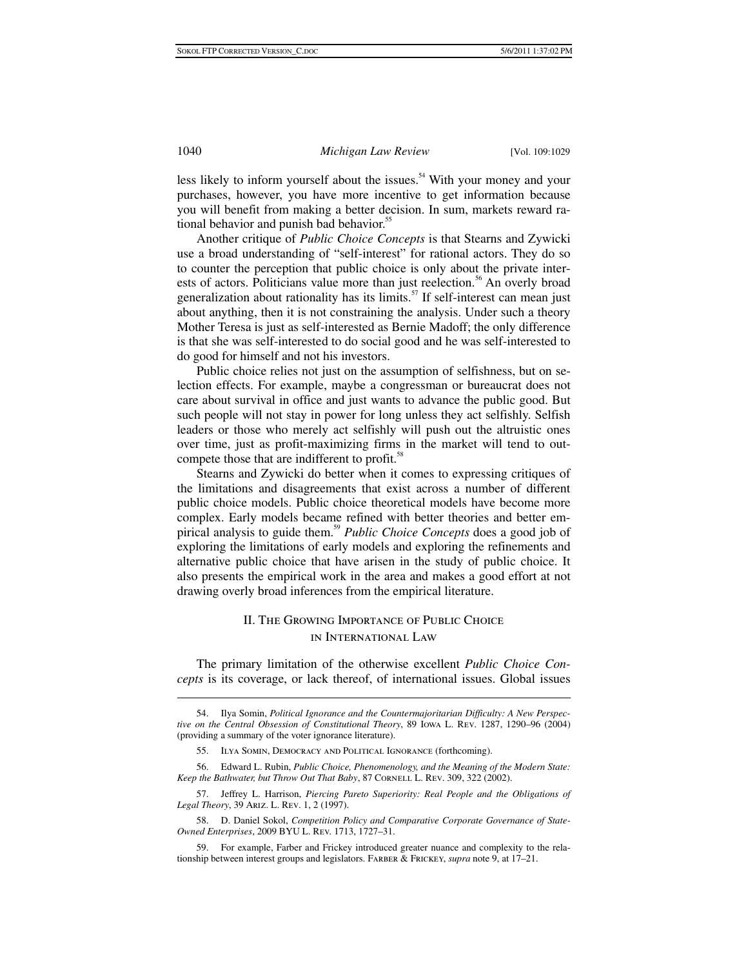less likely to inform yourself about the issues.<sup>54</sup> With your money and your purchases, however, you have more incentive to get information because you will benefit from making a better decision. In sum, markets reward rational behavior and punish bad behavior.<sup>55</sup>

Another critique of *Public Choice Concepts* is that Stearns and Zywicki use a broad understanding of "self-interest" for rational actors. They do so to counter the perception that public choice is only about the private interests of actors. Politicians value more than just reelection.<sup>56</sup> An overly broad generalization about rationality has its limits. $57$  If self-interest can mean just about anything, then it is not constraining the analysis. Under such a theory Mother Teresa is just as self-interested as Bernie Madoff; the only difference is that she was self-interested to do social good and he was self-interested to do good for himself and not his investors.

Public choice relies not just on the assumption of selfishness, but on selection effects. For example, maybe a congressman or bureaucrat does not care about survival in office and just wants to advance the public good. But such people will not stay in power for long unless they act selfishly. Selfish leaders or those who merely act selfishly will push out the altruistic ones over time, just as profit-maximizing firms in the market will tend to outcompete those that are indifferent to profit.<sup>58</sup>

Stearns and Zywicki do better when it comes to expressing critiques of the limitations and disagreements that exist across a number of different public choice models. Public choice theoretical models have become more complex. Early models became refined with better theories and better empirical analysis to guide them.<sup>59</sup> *Public Choice Concepts* does a good job of exploring the limitations of early models and exploring the refinements and alternative public choice that have arisen in the study of public choice. It also presents the empirical work in the area and makes a good effort at not drawing overly broad inferences from the empirical literature.

## II. The Growing Importance of Public Choice in International Law

The primary limitation of the otherwise excellent *Public Choice Concepts* is its coverage, or lack thereof, of international issues. Global issues

 <sup>54.</sup> Ilya Somin, *Political Ignorance and the Countermajoritarian Difficulty: A New Perspective on the Central Obsession of Constitutional Theory*, 89 Iowa L. Rev. 1287, 1290–96 (2004) (providing a summary of the voter ignorance literature).

 <sup>55.</sup> Ilya Somin, Democracy and Political Ignorance (forthcoming).

 <sup>56.</sup> Edward L. Rubin, *Public Choice, Phenomenology, and the Meaning of the Modern State: Keep the Bathwater, but Throw Out That Baby, 87 CORNELL L. REV. 309, 322 (2002).* 

 <sup>57.</sup> Jeffrey L. Harrison, *Piercing Pareto Superiority: Real People and the Obligations of Legal Theory*, 39 Ariz. L. Rev. 1, 2 (1997).

 <sup>58.</sup> D. Daniel Sokol, *Competition Policy and Comparative Corporate Governance of State-Owned Enterprises*, 2009 BYU L. Rev. 1713, 1727–31.

 <sup>59.</sup> For example, Farber and Frickey introduced greater nuance and complexity to the relationship between interest groups and legislators. Farber & Frickey, *supra* note 9, at 17–21.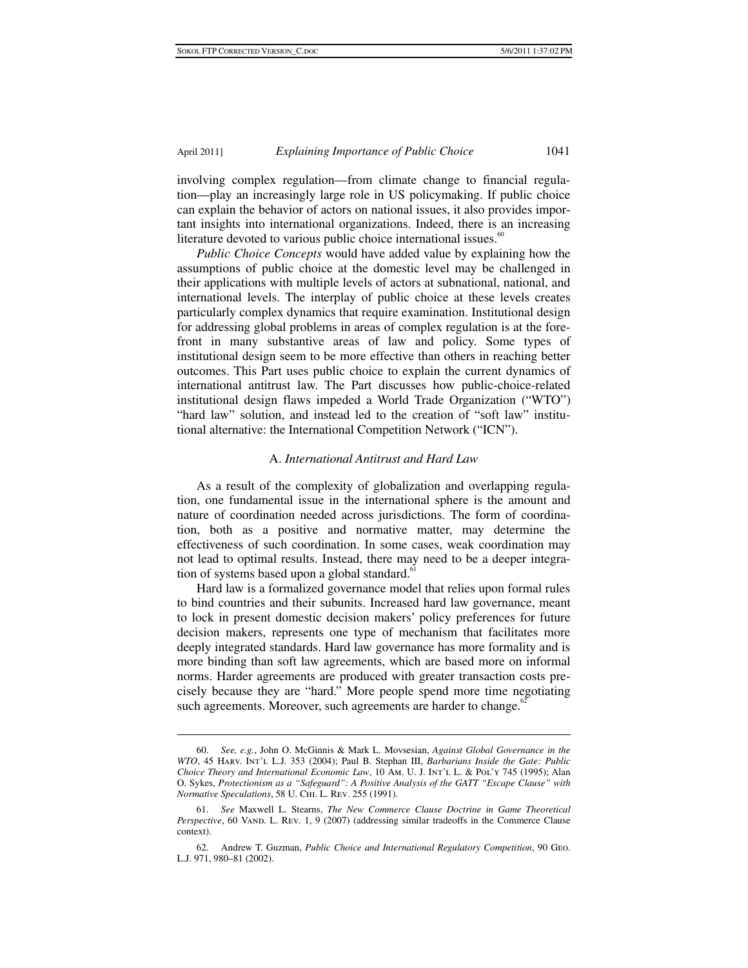involving complex regulation—from climate change to financial regulation—play an increasingly large role in US policymaking. If public choice can explain the behavior of actors on national issues, it also provides important insights into international organizations. Indeed, there is an increasing literature devoted to various public choice international issues.<sup>60</sup>

*Public Choice Concepts* would have added value by explaining how the assumptions of public choice at the domestic level may be challenged in their applications with multiple levels of actors at subnational, national, and international levels. The interplay of public choice at these levels creates particularly complex dynamics that require examination. Institutional design for addressing global problems in areas of complex regulation is at the forefront in many substantive areas of law and policy. Some types of institutional design seem to be more effective than others in reaching better outcomes. This Part uses public choice to explain the current dynamics of international antitrust law. The Part discusses how public-choice-related institutional design flaws impeded a World Trade Organization ("WTO") "hard law" solution, and instead led to the creation of "soft law" institutional alternative: the International Competition Network ("ICN").

#### A. *International Antitrust and Hard Law*

As a result of the complexity of globalization and overlapping regulation, one fundamental issue in the international sphere is the amount and nature of coordination needed across jurisdictions. The form of coordination, both as a positive and normative matter, may determine the effectiveness of such coordination. In some cases, weak coordination may not lead to optimal results. Instead, there may need to be a deeper integration of systems based upon a global standard. $61$ 

Hard law is a formalized governance model that relies upon formal rules to bind countries and their subunits. Increased hard law governance, meant to lock in present domestic decision makers' policy preferences for future decision makers, represents one type of mechanism that facilitates more deeply integrated standards. Hard law governance has more formality and is more binding than soft law agreements, which are based more on informal norms. Harder agreements are produced with greater transaction costs precisely because they are "hard." More people spend more time negotiating such agreements. Moreover, such agreements are harder to change. $62$ 

 <sup>60.</sup> *See, e.g.*, John O. McGinnis & Mark L. Movsesian, *Against Global Governance in the WTO*, 45 Harv. Int'l L.J. 353 (2004); Paul B. Stephan III, *Barbarians Inside the Gate: Public Choice Theory and International Economic Law*, 10 Am. U. J. Int'l L. & Pol'y 745 (1995); Alan O. Sykes, *Protectionism as a "Safeguard": A Positive Analysis of the GATT "Escape Clause" with Normative Speculations*, 58 U. Chi. L. Rev. 255 (1991).

 <sup>61.</sup> *See* Maxwell L. Stearns, *The New Commerce Clause Doctrine in Game Theoretical Perspective*, 60 VAND. L. REV. 1, 9 (2007) (addressing similar tradeoffs in the Commerce Clause context).

 <sup>62.</sup> Andrew T. Guzman, *Public Choice and International Regulatory Competition*, 90 Geo. L.J. 971, 980–81 (2002).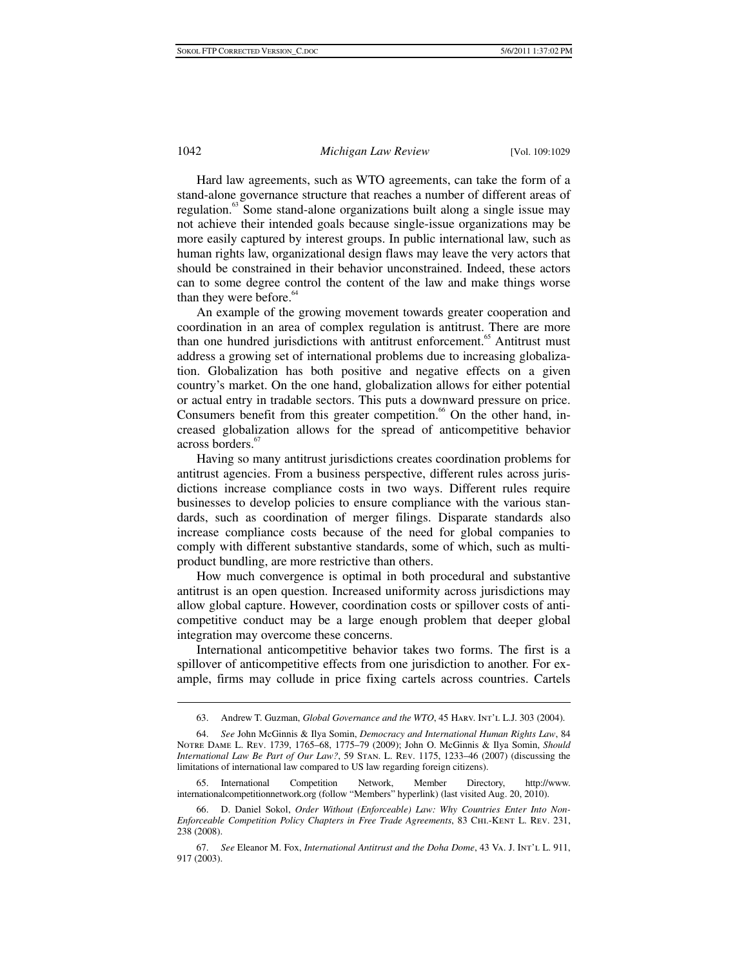Hard law agreements, such as WTO agreements, can take the form of a stand-alone governance structure that reaches a number of different areas of regulation.<sup>63</sup> Some stand-alone organizations built along a single issue may not achieve their intended goals because single-issue organizations may be more easily captured by interest groups. In public international law, such as human rights law, organizational design flaws may leave the very actors that should be constrained in their behavior unconstrained. Indeed, these actors can to some degree control the content of the law and make things worse than they were before. $64$ 

An example of the growing movement towards greater cooperation and coordination in an area of complex regulation is antitrust. There are more than one hundred jurisdictions with antitrust enforcement.<sup>65</sup> Antitrust must address a growing set of international problems due to increasing globalization. Globalization has both positive and negative effects on a given country's market. On the one hand, globalization allows for either potential or actual entry in tradable sectors. This puts a downward pressure on price. Consumers benefit from this greater competition.<sup>66</sup> On the other hand, increased globalization allows for the spread of anticompetitive behavior across borders.<sup>67</sup>

Having so many antitrust jurisdictions creates coordination problems for antitrust agencies. From a business perspective, different rules across jurisdictions increase compliance costs in two ways. Different rules require businesses to develop policies to ensure compliance with the various standards, such as coordination of merger filings. Disparate standards also increase compliance costs because of the need for global companies to comply with different substantive standards, some of which, such as multiproduct bundling, are more restrictive than others.

How much convergence is optimal in both procedural and substantive antitrust is an open question. Increased uniformity across jurisdictions may allow global capture. However, coordination costs or spillover costs of anticompetitive conduct may be a large enough problem that deeper global integration may overcome these concerns.

International anticompetitive behavior takes two forms. The first is a spillover of anticompetitive effects from one jurisdiction to another. For example, firms may collude in price fixing cartels across countries. Cartels

 65. International Competition Network, Member Directory, http://www. internationalcompetitionnetwork.org (follow "Members" hyperlink) (last visited Aug. 20, 2010).

 <sup>63.</sup> Andrew T. Guzman, *Global Governance and the WTO*, 45 Harv. Int'l L.J. 303 (2004).

 <sup>64.</sup> *See* John McGinnis & Ilya Somin, *Democracy and International Human Rights Law*, 84 Notre Dame L. Rev. 1739, 1765–68, 1775–79 (2009); John O. McGinnis & Ilya Somin, *Should International Law Be Part of Our Law?*, 59 Stan. L. Rev. 1175, 1233–46 (2007) (discussing the limitations of international law compared to US law regarding foreign citizens).

 <sup>66.</sup> D. Daniel Sokol, *Order Without (Enforceable) Law: Why Countries Enter Into Non-Enforceable Competition Policy Chapters in Free Trade Agreements*, 83 Chi.-Kent L. Rev. 231, 238 (2008).

 <sup>67.</sup> *See* Eleanor M. Fox, *International Antitrust and the Doha Dome*, 43 Va. J. Int'l L. 911, 917 (2003).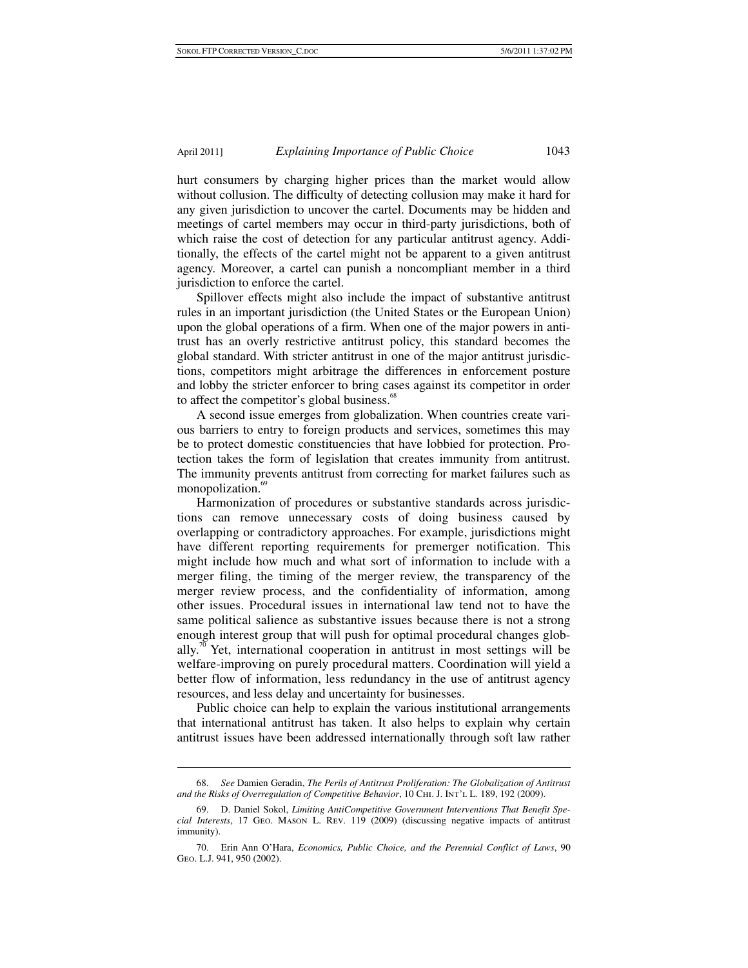hurt consumers by charging higher prices than the market would allow without collusion. The difficulty of detecting collusion may make it hard for any given jurisdiction to uncover the cartel. Documents may be hidden and meetings of cartel members may occur in third-party jurisdictions, both of which raise the cost of detection for any particular antitrust agency. Additionally, the effects of the cartel might not be apparent to a given antitrust agency. Moreover, a cartel can punish a noncompliant member in a third jurisdiction to enforce the cartel.

Spillover effects might also include the impact of substantive antitrust rules in an important jurisdiction (the United States or the European Union) upon the global operations of a firm. When one of the major powers in antitrust has an overly restrictive antitrust policy, this standard becomes the global standard. With stricter antitrust in one of the major antitrust jurisdictions, competitors might arbitrage the differences in enforcement posture and lobby the stricter enforcer to bring cases against its competitor in order to affect the competitor's global business.<sup>68</sup>

A second issue emerges from globalization. When countries create various barriers to entry to foreign products and services, sometimes this may be to protect domestic constituencies that have lobbied for protection. Protection takes the form of legislation that creates immunity from antitrust. The immunity prevents antitrust from correcting for market failures such as monopolization.<sup>69</sup>

Harmonization of procedures or substantive standards across jurisdictions can remove unnecessary costs of doing business caused by overlapping or contradictory approaches. For example, jurisdictions might have different reporting requirements for premerger notification. This might include how much and what sort of information to include with a merger filing, the timing of the merger review, the transparency of the merger review process, and the confidentiality of information, among other issues. Procedural issues in international law tend not to have the same political salience as substantive issues because there is not a strong enough interest group that will push for optimal procedural changes globally.<sup>70</sup> Yet, international cooperation in antitrust in most settings will be welfare-improving on purely procedural matters. Coordination will yield a better flow of information, less redundancy in the use of antitrust agency resources, and less delay and uncertainty for businesses.

Public choice can help to explain the various institutional arrangements that international antitrust has taken. It also helps to explain why certain antitrust issues have been addressed internationally through soft law rather

 <sup>68.</sup> *See* Damien Geradin, *The Perils of Antitrust Proliferation: The Globalization of Antitrust and the Risks of Overregulation of Competitive Behavior*, 10 Chi. J. Int'l L. 189, 192 (2009).

 <sup>69.</sup> D. Daniel Sokol, *Limiting AntiCompetitive Government Interventions That Benefit Special Interests*, 17 Geo. Mason L. Rev. 119 (2009) (discussing negative impacts of antitrust immunity).

 <sup>70.</sup> Erin Ann O'Hara, *Economics, Public Choice, and the Perennial Conflict of Laws*, 90 Geo. L.J. 941, 950 (2002).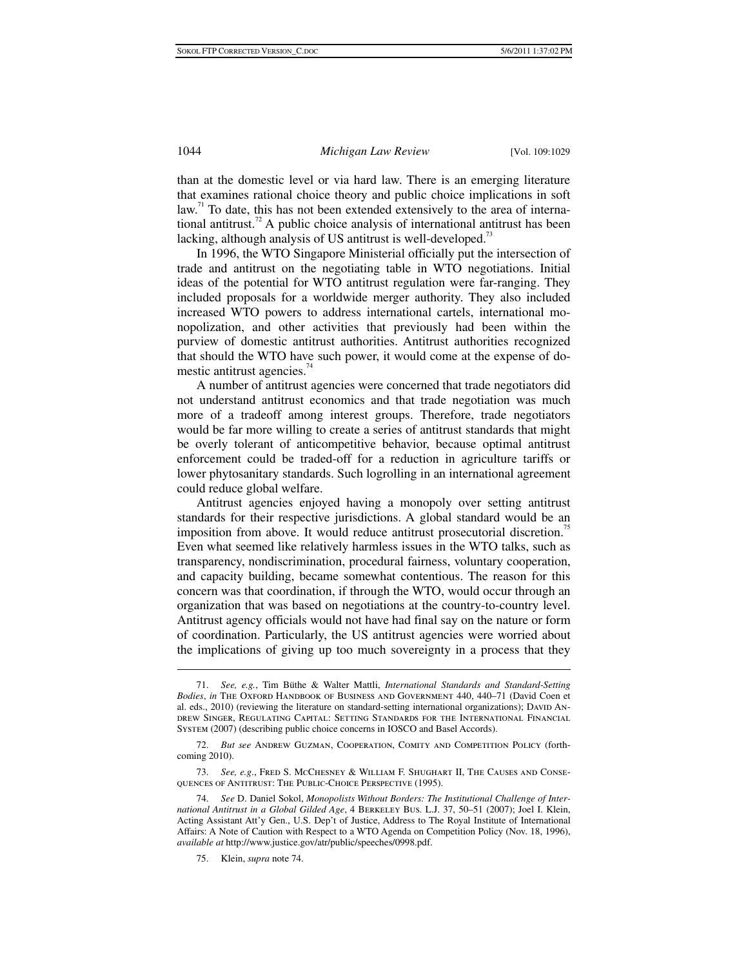than at the domestic level or via hard law. There is an emerging literature that examines rational choice theory and public choice implications in soft  $\lambda$ law.<sup>71</sup> To date, this has not been extended extensively to the area of international antitrust.<sup>72</sup> A public choice analysis of international antitrust has been lacking, although analysis of US antitrust is well-developed.<sup>73</sup>

In 1996, the WTO Singapore Ministerial officially put the intersection of trade and antitrust on the negotiating table in WTO negotiations. Initial ideas of the potential for WTO antitrust regulation were far-ranging. They included proposals for a worldwide merger authority. They also included increased WTO powers to address international cartels, international monopolization, and other activities that previously had been within the purview of domestic antitrust authorities. Antitrust authorities recognized that should the WTO have such power, it would come at the expense of domestic antitrust agencies. $74$ 

A number of antitrust agencies were concerned that trade negotiators did not understand antitrust economics and that trade negotiation was much more of a tradeoff among interest groups. Therefore, trade negotiators would be far more willing to create a series of antitrust standards that might be overly tolerant of anticompetitive behavior, because optimal antitrust enforcement could be traded-off for a reduction in agriculture tariffs or lower phytosanitary standards. Such logrolling in an international agreement could reduce global welfare.

Antitrust agencies enjoyed having a monopoly over setting antitrust standards for their respective jurisdictions. A global standard would be an imposition from above. It would reduce antitrust prosecutorial discretion.<sup>75</sup> Even what seemed like relatively harmless issues in the WTO talks, such as transparency, nondiscrimination, procedural fairness, voluntary cooperation, and capacity building, became somewhat contentious. The reason for this concern was that coordination, if through the WTO, would occur through an organization that was based on negotiations at the country-to-country level. Antitrust agency officials would not have had final say on the nature or form of coordination. Particularly, the US antitrust agencies were worried about the implications of giving up too much sovereignty in a process that they

75. Klein, *supra* note 74.

 <sup>71.</sup> *See, e.g.*, Tim Büthe & Walter Mattli, *International Standards and Standard-Setting Bodies*, *in* The Oxford Handbook of Business and Government 440, 440–71 (David Coen et al. eds., 2010) (reviewing the literature on standard-setting international organizations); DAVID ANdrew Singer, Regulating Capital: Setting Standards for the International Financial System (2007) (describing public choice concerns in IOSCO and Basel Accords).

 <sup>72.</sup> *But see* Andrew Guzman, Cooperation, Comity and Competition Policy (forthcoming 2010).

 <sup>73.</sup> *See, e.g*., Fred S. McChesney & William F. Shughart II, The Causes and Consequences of Antitrust: The Public-Choice Perspective (1995).

 <sup>74.</sup> *See* D. Daniel Sokol, *Monopolists Without Borders: The Institutional Challenge of International Antitrust in a Global Gilded Age*, 4 Berkeley Bus. L.J. 37, 50–51 (2007); Joel I. Klein, Acting Assistant Att'y Gen., U.S. Dep't of Justice, Address to The Royal Institute of International Affairs: A Note of Caution with Respect to a WTO Agenda on Competition Policy (Nov. 18, 1996), *available at* http://www.justice.gov/atr/public/speeches/0998.pdf.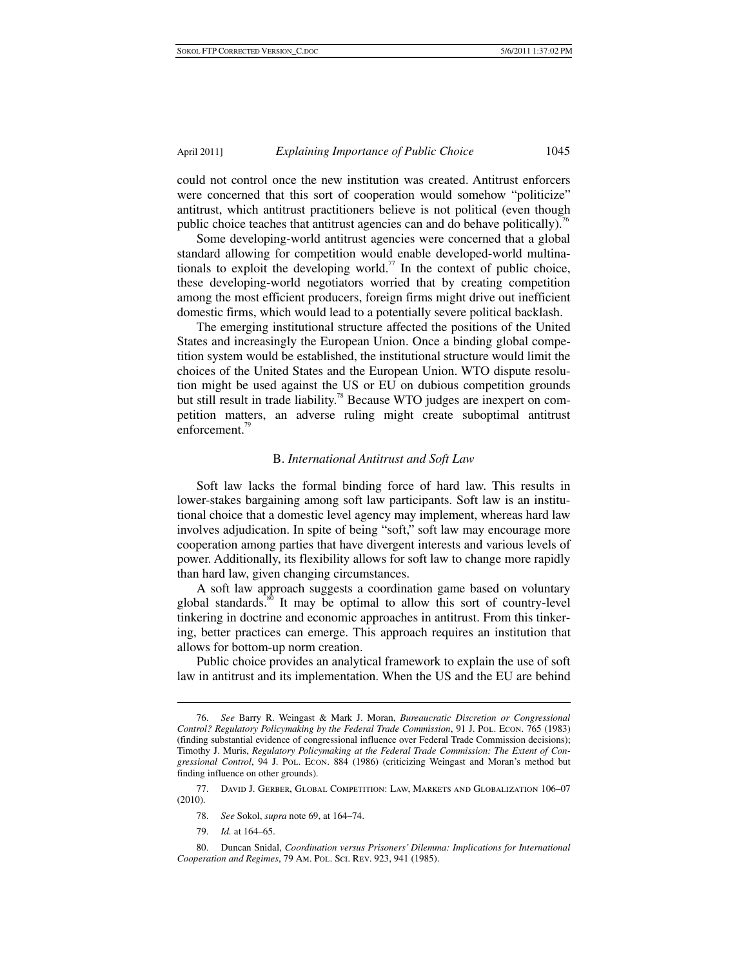could not control once the new institution was created. Antitrust enforcers were concerned that this sort of cooperation would somehow "politicize" antitrust, which antitrust practitioners believe is not political (even though public choice teaches that antitrust agencies can and do behave politically).<sup>76</sup>

Some developing-world antitrust agencies were concerned that a global standard allowing for competition would enable developed-world multinationals to exploit the developing world.<sup>77</sup> In the context of public choice, these developing-world negotiators worried that by creating competition among the most efficient producers, foreign firms might drive out inefficient domestic firms, which would lead to a potentially severe political backlash.

The emerging institutional structure affected the positions of the United States and increasingly the European Union. Once a binding global competition system would be established, the institutional structure would limit the choices of the United States and the European Union. WTO dispute resolution might be used against the US or EU on dubious competition grounds but still result in trade liability.<sup>78</sup> Because WTO judges are inexpert on competition matters, an adverse ruling might create suboptimal antitrust enforcement.<sup>79</sup>

#### B. *International Antitrust and Soft Law*

Soft law lacks the formal binding force of hard law. This results in lower-stakes bargaining among soft law participants. Soft law is an institutional choice that a domestic level agency may implement, whereas hard law involves adjudication. In spite of being "soft," soft law may encourage more cooperation among parties that have divergent interests and various levels of power. Additionally, its flexibility allows for soft law to change more rapidly than hard law, given changing circumstances.

A soft law approach suggests a coordination game based on voluntary global standards.<sup>80</sup> It may be optimal to allow this sort of country-level tinkering in doctrine and economic approaches in antitrust. From this tinkering, better practices can emerge. This approach requires an institution that allows for bottom-up norm creation.

Public choice provides an analytical framework to explain the use of soft law in antitrust and its implementation. When the US and the EU are behind

 <sup>76.</sup> *See* Barry R. Weingast & Mark J. Moran, *Bureaucratic Discretion or Congressional Control? Regulatory Policymaking by the Federal Trade Commission*, 91 J. Pol. Econ. 765 (1983) (finding substantial evidence of congressional influence over Federal Trade Commission decisions); Timothy J. Muris, *Regulatory Policymaking at the Federal Trade Commission: The Extent of Congressional Control*, 94 J. Pol. Econ. 884 (1986) (criticizing Weingast and Moran's method but finding influence on other grounds).

 <sup>77.</sup> David J. Gerber, Global Competition: Law, Markets and Globalization 106–07 (2010).

 <sup>78.</sup> *See* Sokol, *supra* note 69, at 164–74.

 <sup>79.</sup> *Id.* at 164–65.

 <sup>80.</sup> Duncan Snidal, *Coordination versus Prisoners' Dilemma: Implications for International Cooperation and Regimes*, 79 Am. Pol. Sci. Rev. 923, 941 (1985).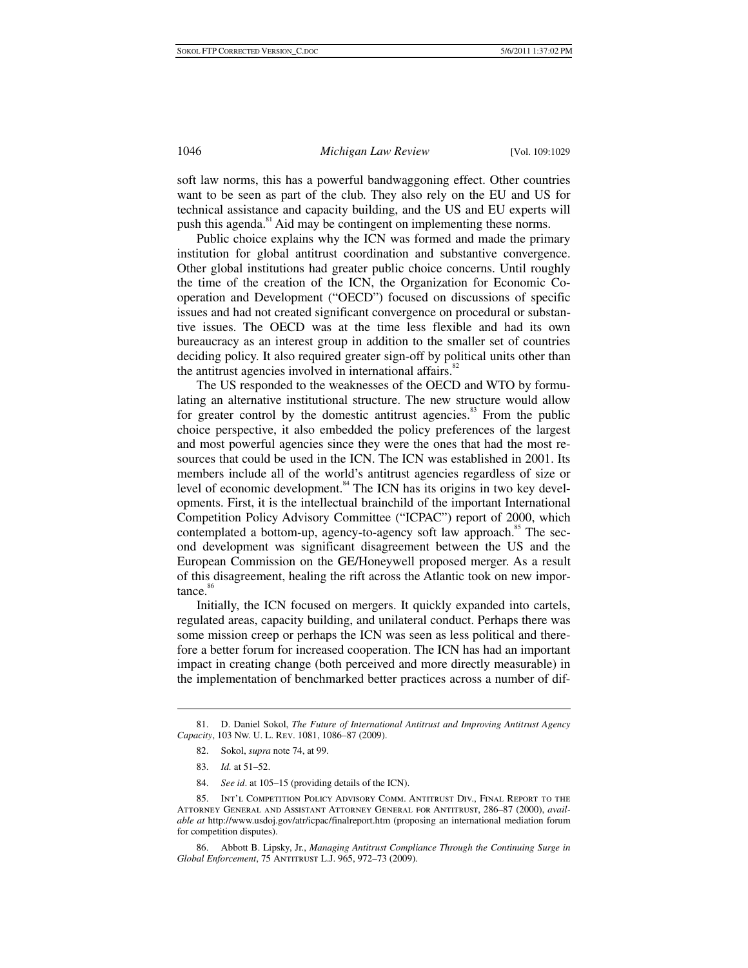soft law norms, this has a powerful bandwaggoning effect. Other countries want to be seen as part of the club. They also rely on the EU and US for technical assistance and capacity building, and the US and EU experts will push this agenda.<sup>81</sup> Aid may be contingent on implementing these norms.

Public choice explains why the ICN was formed and made the primary institution for global antitrust coordination and substantive convergence. Other global institutions had greater public choice concerns. Until roughly the time of the creation of the ICN, the Organization for Economic Cooperation and Development ("OECD") focused on discussions of specific issues and had not created significant convergence on procedural or substantive issues. The OECD was at the time less flexible and had its own bureaucracy as an interest group in addition to the smaller set of countries deciding policy. It also required greater sign-off by political units other than the antitrust agencies involved in international affairs.<sup>82</sup>

The US responded to the weaknesses of the OECD and WTO by formulating an alternative institutional structure. The new structure would allow for greater control by the domestic antitrust agencies. $83$  From the public choice perspective, it also embedded the policy preferences of the largest and most powerful agencies since they were the ones that had the most resources that could be used in the ICN. The ICN was established in 2001. Its members include all of the world's antitrust agencies regardless of size or level of economic development.<sup>84</sup> The ICN has its origins in two key developments. First, it is the intellectual brainchild of the important International Competition Policy Advisory Committee ("ICPAC") report of 2000, which contemplated a bottom-up, agency-to-agency soft law approach.<sup>85</sup> The second development was significant disagreement between the US and the European Commission on the GE/Honeywell proposed merger. As a result of this disagreement, healing the rift across the Atlantic took on new impor $tance.<sup>86</sup>$ 

Initially, the ICN focused on mergers. It quickly expanded into cartels, regulated areas, capacity building, and unilateral conduct. Perhaps there was some mission creep or perhaps the ICN was seen as less political and therefore a better forum for increased cooperation. The ICN has had an important impact in creating change (both perceived and more directly measurable) in the implementation of benchmarked better practices across a number of dif-

- 82. Sokol, *supra* note 74, at 99.
- 83. *Id.* at 51–52.

 $\ddot{\phantom{a}}$ 

84. *See id*. at 105–15 (providing details of the ICN).

 <sup>81.</sup> D. Daniel Sokol, *The Future of International Antitrust and Improving Antitrust Agency Capacity*, 103 Nw. U. L. Rev. 1081, 1086–87 (2009).

 <sup>85.</sup> Int'l Competition Policy Advisory Comm. Antitrust Div., Final Report to the Attorney General and Assistant Attorney General for Antitrust, 286–87 (2000), *available at* http://www.usdoj.gov/atr/icpac/finalreport.htm (proposing an international mediation forum for competition disputes).

 <sup>86.</sup> Abbott B. Lipsky, Jr., *Managing Antitrust Compliance Through the Continuing Surge in Global Enforcement*, 75 Antitrust L.J. 965, 972–73 (2009).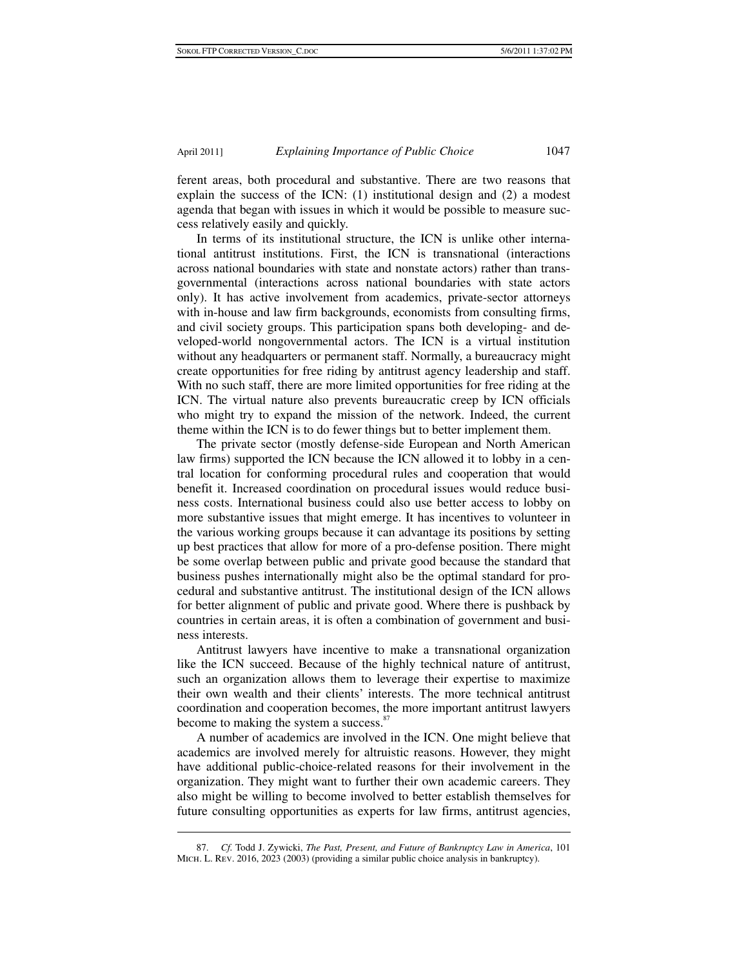ferent areas, both procedural and substantive. There are two reasons that explain the success of the ICN: (1) institutional design and (2) a modest agenda that began with issues in which it would be possible to measure success relatively easily and quickly.

In terms of its institutional structure, the ICN is unlike other international antitrust institutions. First, the ICN is transnational (interactions across national boundaries with state and nonstate actors) rather than transgovernmental (interactions across national boundaries with state actors only). It has active involvement from academics, private-sector attorneys with in-house and law firm backgrounds, economists from consulting firms, and civil society groups. This participation spans both developing- and developed-world nongovernmental actors. The ICN is a virtual institution without any headquarters or permanent staff. Normally, a bureaucracy might create opportunities for free riding by antitrust agency leadership and staff. With no such staff, there are more limited opportunities for free riding at the ICN. The virtual nature also prevents bureaucratic creep by ICN officials who might try to expand the mission of the network. Indeed, the current theme within the ICN is to do fewer things but to better implement them.

The private sector (mostly defense-side European and North American law firms) supported the ICN because the ICN allowed it to lobby in a central location for conforming procedural rules and cooperation that would benefit it. Increased coordination on procedural issues would reduce business costs. International business could also use better access to lobby on more substantive issues that might emerge. It has incentives to volunteer in the various working groups because it can advantage its positions by setting up best practices that allow for more of a pro-defense position. There might be some overlap between public and private good because the standard that business pushes internationally might also be the optimal standard for procedural and substantive antitrust. The institutional design of the ICN allows for better alignment of public and private good. Where there is pushback by countries in certain areas, it is often a combination of government and business interests.

Antitrust lawyers have incentive to make a transnational organization like the ICN succeed. Because of the highly technical nature of antitrust, such an organization allows them to leverage their expertise to maximize their own wealth and their clients' interests. The more technical antitrust coordination and cooperation becomes, the more important antitrust lawyers become to making the system a success.<sup>87</sup>

A number of academics are involved in the ICN. One might believe that academics are involved merely for altruistic reasons. However, they might have additional public-choice-related reasons for their involvement in the organization. They might want to further their own academic careers. They also might be willing to become involved to better establish themselves for future consulting opportunities as experts for law firms, antitrust agencies,

 <sup>87.</sup> *Cf.* Todd J. Zywicki, *The Past, Present, and Future of Bankruptcy Law in America*, 101 MICH. L. REV. 2016, 2023 (2003) (providing a similar public choice analysis in bankruptcy).